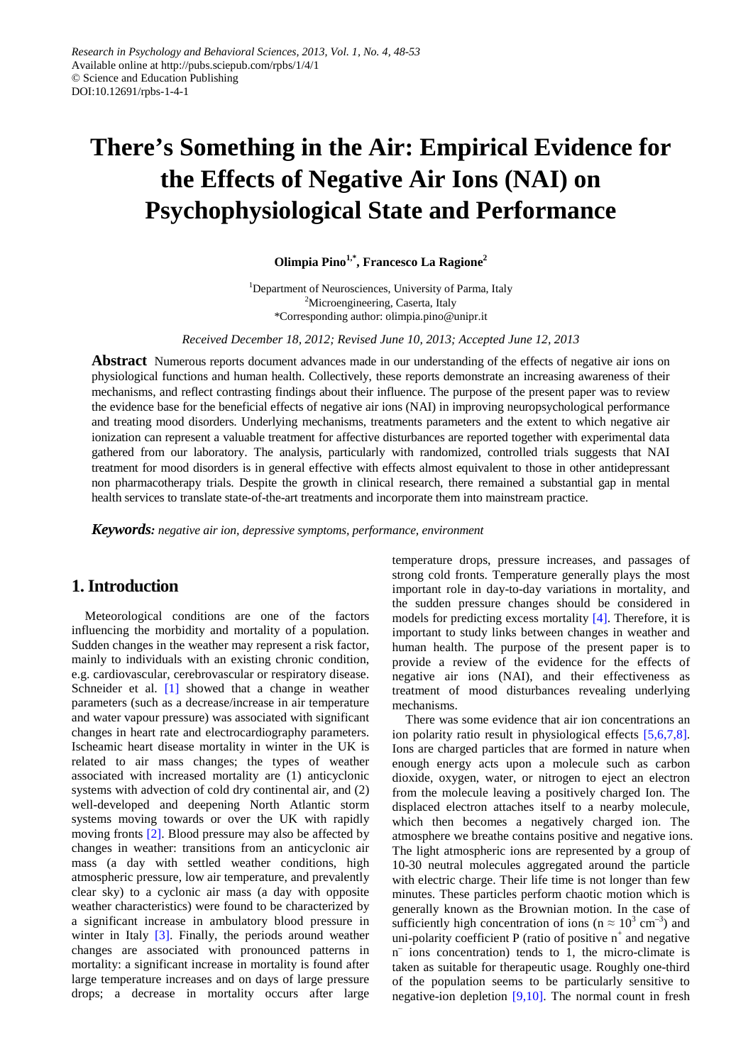# **There's Something in the Air: Empirical Evidence for the Effects of Negative Air Ions (NAI) on Psychophysiological State and Performance**

**Olimpia Pino1,\*, Francesco La Ragione<sup>2</sup>**

<sup>1</sup>Department of Neurosciences, University of Parma, Italy <sup>2</sup>Microengineering, Caserta, Italy \*Corresponding author: olimpia.pino@unipr.it

*Received December 18, 2012; Revised June 10, 2013; Accepted June 12, 2013*

**Abstract** Numerous reports document advances made in our understanding of the effects of negative air ions on physiological functions and human health. Collectively, these reports demonstrate an increasing awareness of their mechanisms, and reflect contrasting findings about their influence. The purpose of the present paper was to review the evidence base for the beneficial effects of negative air ions (NAI) in improving neuropsychological performance and treating mood disorders. Underlying mechanisms, treatments parameters and the extent to which negative air ionization can represent a valuable treatment for affective disturbances are reported together with experimental data gathered from our laboratory. The analysis, particularly with randomized, controlled trials suggests that NAI treatment for mood disorders is in general effective with effects almost equivalent to those in other antidepressant non pharmacotherapy trials. Despite the growth in clinical research, there remained a substantial gap in mental health services to translate state-of-the-art treatments and incorporate them into mainstream practice.

*Keywords: negative air ion, depressive symptoms, performance, environment*

### **1. Introduction**

Meteorological conditions are one of the factors influencing the morbidity and mortality of a population. Sudden changes in the weather may represent a risk factor, mainly to individuals with an existing chronic condition, e.g. cardiovascular, cerebrovascular or respiratory disease. Schneider et al. [\[1\]](#page-4-0) showed that a change in weather parameters (such as a decrease/increase in air temperature and water vapour pressure) was associated with significant changes in heart rate and electrocardiography parameters. Ischeamic heart disease mortality in winter in the UK is related to air mass changes; the types of weather associated with increased mortality are (1) anticyclonic systems with advection of cold dry continental air, and (2) well-developed and deepening North Atlantic storm systems moving towards or over the UK with rapidly moving fronts [\[2\].](#page-4-1) Blood pressure may also be affected by changes in weather: transitions from an anticyclonic air mass (a day with settled weather conditions, high atmospheric pressure, low air temperature, and prevalently clear sky) to a cyclonic air mass (a day with opposite weather characteristics) were found to be characterized by a significant increase in ambulatory blood pressure in winter in Italy [\[3\].](#page-4-2) Finally, the periods around weather changes are associated with pronounced patterns in mortality: a significant increase in mortality is found after large temperature increases and on days of large pressure drops; a decrease in mortality occurs after large

temperature drops, pressure increases, and passages of strong cold fronts. Temperature generally plays the most important role in day-to-day variations in mortality, and the sudden pressure changes should be considered in models for predicting excess mortality [\[4\].](#page-4-3) Therefore, it is important to study links between changes in weather and human health. The purpose of the present paper is to provide a review of the evidence for the effects of negative air ions (NAI), and their effectiveness as treatment of mood disturbances revealing underlying mechanisms.

There was some evidence that air ion concentrations an ion polarity ratio result in physiological effects [\[5,6,7,8\].](#page-4-4) Ions are charged particles that are formed in nature when enough energy acts upon a molecule such as carbon dioxide, oxygen, water, or nitrogen to eject an electron from the molecule leaving a positively charged Ion. The displaced electron attaches itself to a nearby molecule, which then becomes a negatively charged ion. The atmosphere we breathe contains positive and negative ions. The light atmospheric ions are represented by a group of 10-30 neutral molecules aggregated around the particle with electric charge. Their life time is not longer than few minutes. These particles perform chaotic motion which is generally known as the Brownian motion. In the case of sufficiently high concentration of ions ( $n \approx 10^3$  cm<sup>-3</sup>) and uni-polarity coefficient P (ratio of positive  $n^+$  and negative  $n<sup>-</sup>$  ions concentration) tends to 1, the micro-climate is taken as suitable for therapeutic usage. Roughly one-third of the population seems to be particularly sensitive to negative-ion depletion [\[9,10\].](#page-4-5) The normal count in fresh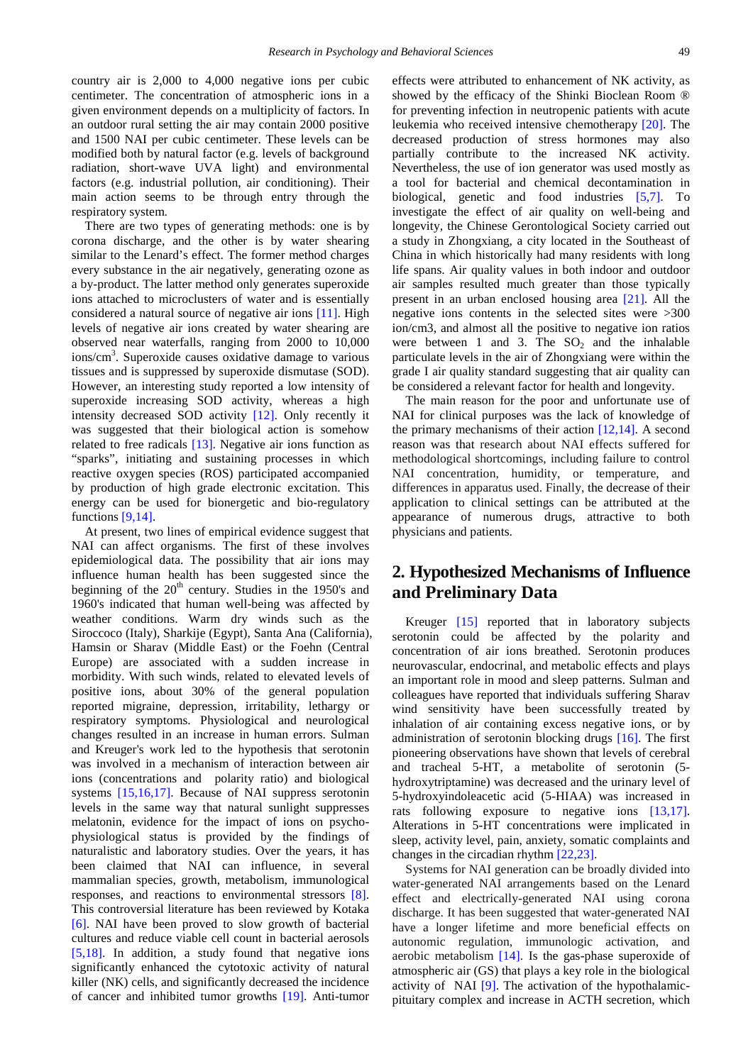country air is 2,000 to 4,000 negative ions per cubic centimeter. The concentration of atmospheric ions in a given environment depends on a multiplicity of factors. In an outdoor rural setting the air may contain 2000 positive and 1500 NAI per cubic centimeter. These levels can be modified both by natural factor (e.g. levels of background radiation, short-wave UVA light) and environmental factors (e.g. industrial pollution, air conditioning). Their main action seems to be through entry through the respiratory system.

There are two types of generating methods: one is by corona discharge, and the other is by water shearing similar to the Lenard's effect. The former method charges every substance in the air negatively, generating ozone as a by-product. The latter method only generates superoxide ions attached to microclusters of water and is essentially considered a natural source of negative air ions [\[11\].](#page-4-6) High levels of negative air ions created by water shearing are observed near waterfalls, ranging from 2000 to 10,000 ions/cm<sup>3</sup>. Superoxide causes oxidative damage to various tissues and is suppressed by superoxide dismutase (SOD). However, an interesting study reported a low intensity of superoxide increasing SOD activity, whereas a high intensity decreased SOD activity [\[12\].](#page-4-7) Only recently it was suggested that their biological action is somehow related to free radicals [\[13\].](#page-5-0) Negative air ions function as "sparks", initiating and sustaining processes in which reactive oxygen species (ROS) participated accompanied by production of high grade electronic excitation. This energy can be used for bionergetic and bio-regulatory functions [\[9,14\].](#page-4-5)

At present, two lines of empirical evidence suggest that NAI can affect organisms. The first of these involves epidemiological data. The possibility that air ions may influence human health has been suggested since the beginning of the  $20<sup>th</sup>$  century. Studies in the 1950's and 1960's indicated that human well-being was affected by weather conditions. Warm dry winds such as the Siroccoco (Italy), Sharkije (Egypt), Santa Ana (California), Hamsin or Sharav (Middle East) or the Foehn (Central Europe) are associated with a sudden increase in morbidity. With such winds, related to elevated levels of positive ions, about 30% of the general population reported migraine, depression, irritability, lethargy or respiratory symptoms. Physiological and neurological changes resulted in an increase in human errors. Sulman and Kreuger's work led to the hypothesis that serotonin was involved in a mechanism of interaction between air ions (concentrations and polarity ratio) and biological systems [\[15,16,17\].](#page-5-1) Because of NAI suppress serotonin levels in the same way that natural sunlight suppresses melatonin, evidence for the impact of ions on psychophysiological status is provided by the findings of naturalistic and laboratory studies. Over the years, it has been claimed that NAI can influence, in several mammalian species, growth, metabolism, immunological responses, and reactions to environmental stressors [\[8\].](#page-4-8) This controversial literature has been reviewed by Kotaka [\[6\].](#page-4-9) NAI have been proved to slow growth of bacterial cultures and reduce viable cell count in bacterial aerosols [\[5,18\].](#page-4-4) In addition, a study found that negative ions significantly enhanced the cytotoxic activity of natural killer (NK) cells, and significantly decreased the incidence of cancer and inhibited tumor growths [\[19\].](#page-5-2) Anti-tumor

effects were attributed to enhancement of NK activity, as showed by the efficacy of the Shinki Bioclean Room ® for preventing infection in neutropenic patients with acute leukemia who received intensive chemotherapy [\[20\].](#page-5-3) The decreased production of stress hormones may also partially contribute to the increased NK activity. Nevertheless, the use of ion generator was used mostly as a tool for bacterial and chemical decontamination in biological, genetic and food industries [\[5,7\].](#page-4-4) To investigate the effect of air quality on well-being and longevity, the Chinese Gerontological Society carried out a study in Zhongxiang, a city located in the Southeast of China in which historically had many residents with long life spans. Air quality values in both indoor and outdoor air samples resulted much greater than those typically present in an urban enclosed housing area [\[21\].](#page-5-4) All the negative ions contents in the selected sites were >300 ion/cm3, and almost all the positive to negative ion ratios were between 1 and 3. The  $SO<sub>2</sub>$  and the inhalable particulate levels in the air of Zhongxiang were within the grade I air quality standard suggesting that air quality can be considered a relevant factor for health and longevity.

The main reason for the poor and unfortunate use of NAI for clinical purposes was the lack of knowledge of the primary mechanisms of their action  $[12,14]$ . A second reason was that research about NAI effects suffered for methodological shortcomings, including failure to control NAI concentration, humidity, or temperature, and differences in apparatus used. Finally, the decrease of their application to clinical settings can be attributed at the appearance of numerous drugs, attractive to both physicians and patients.

# **2. Hypothesized Mechanisms of Influence and Preliminary Data**

Kreuger [\[15\]](#page-5-1) reported that in laboratory subjects serotonin could be affected by the polarity and concentration of air ions breathed. Serotonin produces neurovascular, endocrinal, and metabolic effects and plays an important role in mood and sleep patterns. Sulman and colleagues have reported that individuals suffering Sharav wind sensitivity have been successfully treated by inhalation of air containing excess negative ions, or by administration of serotonin blocking drugs [\[16\].](#page-5-5) The first pioneering observations have shown that levels of cerebral and tracheal 5-HT, a metabolite of serotonin (5 hydroxytriptamine) was decreased and the urinary level of 5-hydroxyindoleacetic acid (5-HIAA) was increased in rats following exposure to negative ions [\[13,17\].](#page-5-0) Alterations in 5-HT concentrations were implicated in sleep, activity level, pain, anxiety, somatic complaints and changes in the circadian rhythm [\[22,23\].](#page-5-6)

Systems for NAI generation can be broadly divided into water-generated NAI arrangements based on the Lenard effect and electrically-generated NAI using corona discharge. It has been suggested that water-generated NAI have a longer lifetime and more beneficial effects on autonomic regulation, immunologic activation, and aerobic metabolism [\[14\].](#page-5-7) Is the gas-phase superoxide of atmospheric air (GS) that plays a key role in the biological activity of NAI [\[9\].](#page-4-5) The activation of the hypothalamicpituitary complex and increase in ACTH secretion, which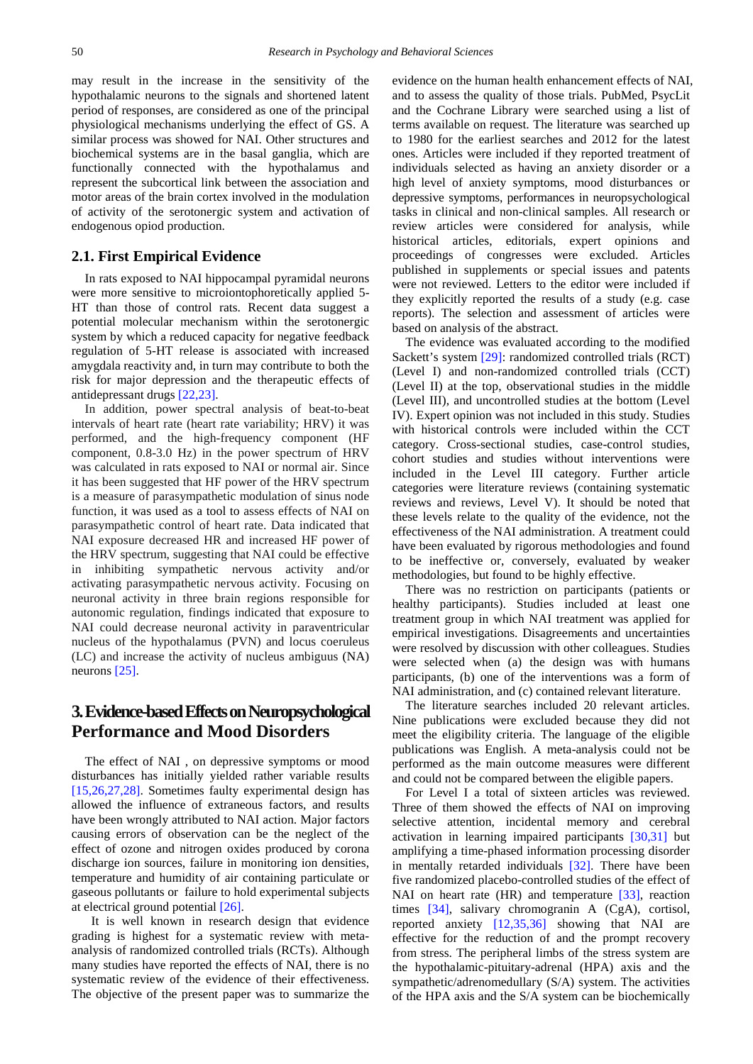may result in the increase in the sensitivity of the hypothalamic neurons to the signals and shortened latent period of responses, are considered as one of the principal physiological mechanisms underlying the effect of GS. A similar process was showed for NAI. Other structures and biochemical systems are in the basal ganglia, which are functionally connected with the hypothalamus and represent the subcortical link between the association and motor areas of the brain cortex involved in the modulation of activity of the serotonergic system and activation of endogenous opiod production.

#### **2.1. First Empirical Evidence**

In rats exposed to NAI hippocampal pyramidal neurons were more sensitive to microiontophoretically applied 5- HT than those of control rats. Recent data suggest a potential molecular mechanism within the serotonergic system by which a reduced capacity for negative feedback regulation of 5-HT release is associated with increased amygdala reactivity and, in turn may contribute to both the risk for major depression and the therapeutic effects of antidepressant drugs [\[22,23\].](#page-5-6)

In addition, power spectral analysis of beat-to-beat intervals of heart rate (heart rate variability; HRV) it was performed, and the high-frequency component (HF component, 0.8-3.0 Hz) in the power spectrum of HRV was calculated in rats exposed to NAI or normal air. Since it has been suggested that HF power of the HRV spectrum is a measure of parasympathetic modulation of sinus node function, it was used as a tool to assess effects of NAI on parasympathetic control of heart rate. Data indicated that NAI exposure decreased HR and increased HF power of the HRV spectrum, suggesting that NAI could be effective in inhibiting sympathetic nervous activity and/or activating parasympathetic nervous activity. Focusing on neuronal activity in three brain regions responsible for autonomic regulation, findings indicated that exposure to NAI could decrease neuronal activity in paraventricular nucleus of the hypothalamus (PVN) and locus coeruleus (LC) and increase the activity of nucleus ambiguus (NA) neurons [\[25\].](#page-5-8)

# **3. Evidence-based Effects on Neuropsychological Performance and Mood Disorders**

The effect of NAI , on depressive symptoms or mood disturbances has initially yielded rather variable results [\[15,26,27,28\].](#page-5-1) Sometimes faulty experimental design has allowed the influence of extraneous factors, and results have been wrongly attributed to NAI action. Major factors causing errors of observation can be the neglect of the effect of ozone and nitrogen oxides produced by corona discharge ion sources, failure in monitoring ion densities, temperature and humidity of air containing particulate or gaseous pollutants or failure to hold experimental subjects at electrical ground potential [\[26\].](#page-5-9)

 It is well known in research design that evidence grading is highest for a systematic review with metaanalysis of randomized controlled trials (RCTs). Although many studies have reported the effects of NAI, there is no systematic review of the evidence of their effectiveness. The objective of the present paper was to summarize the evidence on the human health enhancement effects of NAI, and to assess the quality of those trials. PubMed, PsycLit and the Cochrane Library were searched using a list of terms available on request. The literature was searched up to 1980 for the earliest searches and 2012 for the latest ones. Articles were included if they reported treatment of individuals selected as having an anxiety disorder or a high level of anxiety symptoms, mood disturbances or depressive symptoms, performances in neuropsychological tasks in clinical and non-clinical samples. All research or review articles were considered for analysis, while historical articles, editorials, expert opinions and proceedings of congresses were excluded. Articles published in supplements or special issues and patents were not reviewed. Letters to the editor were included if they explicitly reported the results of a study (e.g. case reports). The selection and assessment of articles were based on analysis of the abstract.

The evidence was evaluated according to the modified Sackett's system [\[29\]:](#page-5-10) randomized controlled trials (RCT) (Level I) and non-randomized controlled trials (CCT) (Level II) at the top, observational studies in the middle (Level III), and uncontrolled studies at the bottom (Level IV). Expert opinion was not included in this study. Studies with historical controls were included within the CCT category. Cross-sectional studies, case-control studies, cohort studies and studies without interventions were included in the Level III category. Further article categories were literature reviews (containing systematic reviews and reviews, Level V). It should be noted that these levels relate to the quality of the evidence, not the effectiveness of the NAI administration. A treatment could have been evaluated by rigorous methodologies and found to be ineffective or, conversely, evaluated by weaker methodologies, but found to be highly effective.

There was no restriction on participants (patients or healthy participants). Studies included at least one treatment group in which NAI treatment was applied for empirical investigations. Disagreements and uncertainties were resolved by discussion with other colleagues. Studies were selected when (a) the design was with humans participants, (b) one of the interventions was a form of NAI administration, and (c) contained relevant literature.

The literature searches included 20 relevant articles. Nine publications were excluded because they did not meet the eligibility criteria. The language of the eligible publications was English. A meta-analysis could not be performed as the main outcome measures were different and could not be compared between the eligible papers.

For Level I a total of sixteen articles was reviewed. Three of them showed the effects of NAI on improving selective attention, incidental memory and cerebral activation in learning impaired participants [\[30,31\]](#page-5-11) but amplifying a time-phased information processing disorder in mentally retarded individuals [\[32\].](#page-5-12) There have been five randomized placebo-controlled studies of the effect of NAI on heart rate (HR) and temperature [\[33\],](#page-5-13) reaction times [\[34\],](#page-5-14) salivary chromogranin A (CgA), cortisol, reported anxiety [\[12,35,36\]](#page-4-7) showing that NAI are effective for the reduction of and the prompt recovery from stress. The peripheral limbs of the stress system are the hypothalamic-pituitary-adrenal (HPA) axis and the sympathetic/adrenomedullary (S/A) system. The activities of the HPA axis and the S/A system can be biochemically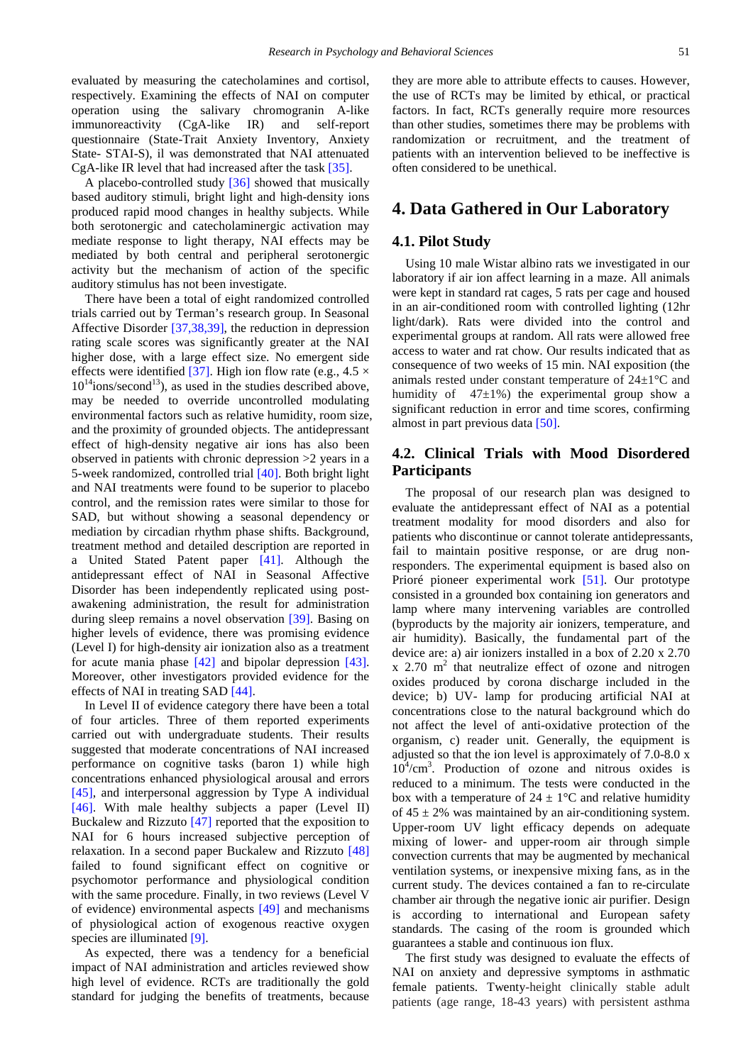evaluated by measuring the catecholamines and cortisol, respectively. Examining the effects of NAI on computer operation using the salivary chromogranin A-like immunoreactivity (CgA-like IR) and self-report questionnaire (State-Trait Anxiety Inventory, Anxiety State- STAI-S), il was demonstrated that NAI attenuated CgA-like IR level that had increased after the tas[k \[35\].](#page-5-15) 

A placebo-controlled study [\[36\]](#page-5-16) showed that musically based auditory stimuli, bright light and high-density ions produced rapid mood changes in healthy subjects. While both serotonergic and catecholaminergic activation may mediate response to light therapy, NAI effects may be mediated by both central and peripheral serotonergic activity but the mechanism of action of the specific auditory stimulus has not been investigate.

There have been a total of eight randomized controlled trials carried out by Terman's research group. In Seasonal Affective Disorder [\[37,38,39\],](#page-5-17) the reduction in depression rating scale scores was significantly greater at the NAI higher dose, with a large effect size. No emergent side effects were identified [\[37\].](#page-5-17) High ion flow rate (e.g.,  $4.5 \times$  $10^{14}$ ions/second<sup>13</sup>), as used in the studies described above, may be needed to override uncontrolled modulating environmental factors such as relative humidity, room size, and the proximity of grounded objects. The antidepressant effect of high-density negative air ions has also been observed in patients with chronic depression >2 years in a 5-week randomized, controlled trial [\[40\].](#page-5-18) Both bright light and NAI treatments were found to be superior to placebo control, and the remission rates were similar to those for SAD, but without showing a seasonal dependency or mediation by circadian rhythm phase shifts. Background, treatment method and detailed description are reported in a United Stated Patent paper [\[41\].](#page-5-19) Although the antidepressant effect of NAI in Seasonal Affective Disorder has been independently replicated using postawakening administration, the result for administration during sleep remains a novel observation [\[39\].](#page-5-20) Basing on higher levels of evidence, there was promising evidence (Level I) for high-density air ionization also as a treatment for acute mania phase [\[42\]](#page-5-21) and bipolar depression [\[43\].](#page-5-22) Moreover, other investigators provided evidence for the effects of NAI in treating SAD [\[44\].](#page-5-23)

In Level II of evidence category there have been a total of four articles. Three of them reported experiments carried out with undergraduate students. Their results suggested that moderate concentrations of NAI increased performance on cognitive tasks (baron 1) while high concentrations enhanced physiological arousal and errors [\[45\],](#page-5-24) and interpersonal aggression by Type A individual [\[46\].](#page-5-25) With male healthy subjects a paper (Level II) Buckalew and Rizzuto [\[47\]](#page-5-26) reported that the exposition to NAI for 6 hours increased subjective perception of relaxation. In a second paper Buckalew and Rizzuto [\[48\]](#page-5-27) failed to found significant effect on cognitive or psychomotor performance and physiological condition with the same procedure. Finally, in two reviews (Level V of evidence) environmental aspects [\[49\]](#page-5-28) and mechanisms of physiological action of exogenous reactive oxygen species are illuminated [\[9\].](#page-4-5)

As expected, there was a tendency for a beneficial impact of NAI administration and articles reviewed show high level of evidence. RCTs are traditionally the gold standard for judging the benefits of treatments, because they are more able to attribute effects to causes. However, the use of RCTs may be limited by ethical, or practical factors. In fact, RCTs generally require more resources than other studies, sometimes there may be problems with randomization or recruitment, and the treatment of patients with an intervention believed to be ineffective is often considered to be unethical.

#### **4. Data Gathered in Our Laboratory**

#### **4.1. Pilot Study**

Using 10 male Wistar albino rats we investigated in our laboratory if air ion affect learning in a maze. All animals were kept in standard rat cages, 5 rats per cage and housed in an air-conditioned room with controlled lighting (12hr light/dark). Rats were divided into the control and experimental groups at random. All rats were allowed free access to water and rat chow. Our results indicated that as consequence of two weeks of 15 min. NAI exposition (the animals rested under constant temperature of 24±1°C and humidity of  $47\pm1\%$ ) the experimental group show a significant reduction in error and time scores, confirming almost in part previous data [\[50\].](#page-5-29)

#### **4.2. Clinical Trials with Mood Disordered Participants**

The proposal of our research plan was designed to evaluate the antidepressant effect of NAI as a potential treatment modality for mood disorders and also for patients who discontinue or cannot tolerate antidepressants, fail to maintain positive response, or are drug nonresponders. The experimental equipment is based also on Prioré pioneer experimental work [\[51\].](#page-5-30) Our prototype consisted in a grounded box containing ion generators and lamp where many intervening variables are controlled (byproducts by the majority air ionizers, temperature, and air humidity). Basically, the fundamental part of the device are: a) air ionizers installed in a box of 2.20 x 2.70  $x$  2.70 m<sup>2</sup> that neutralize effect of ozone and nitrogen oxides produced by corona discharge included in the device; b) UV- lamp for producing artificial NAI at concentrations close to the natural background which do not affect the level of anti-oxidative protection of the organism, c) reader unit. Generally, the equipment is adjusted so that the ion level is approximately of 7.0-8.0 x 10<sup>4</sup> /cm3 . Production of ozone and nitrous oxides is reduced to a minimum. The tests were conducted in the box with a temperature of  $24 \pm 1$ °C and relative humidity of  $45 \pm 2\%$  was maintained by an air-conditioning system. Upper-room UV light efficacy depends on adequate mixing of lower- and upper-room air through simple convection currents that may be augmented by mechanical ventilation systems, or inexpensive mixing fans, as in the current study. The devices contained a fan to re-circulate chamber air through the negative ionic air purifier. Design is according to international and European safety standards. The casing of the room is grounded which guarantees a stable and continuous ion flux.

The first study was designed to evaluate the effects of NAI on anxiety and depressive symptoms in asthmatic female patients. Twenty-height clinically stable adult patients (age range, 18-43 years) with persistent asthma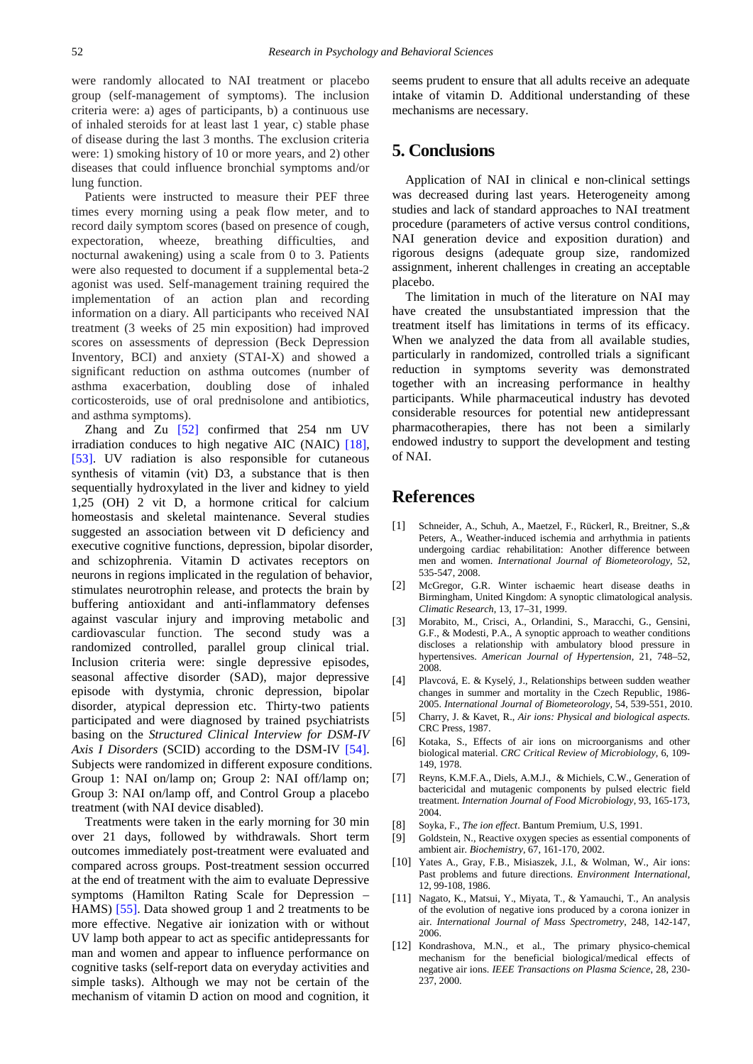were randomly allocated to NAI treatment or placebo group (self-management of symptoms). The inclusion criteria were: a) ages of participants, b) a continuous use of inhaled steroids for at least last 1 year, c) stable phase of disease during the last 3 months. The exclusion criteria were: 1) smoking history of 10 or more years, and 2) other diseases that could influence bronchial symptoms and/or lung function.

Patients were instructed to measure their PEF three times every morning using a peak flow meter, and to record daily symptom scores (based on presence of cough, expectoration, wheeze, breathing difficulties, and nocturnal awakening) using a scale from 0 to 3. Patients were also requested to document if a supplemental beta-2 agonist was used. Self-management training required the implementation of an action plan and recording information on a diary. All participants who received NAI treatment (3 weeks of 25 min exposition) had improved scores on assessments of depression (Beck Depression Inventory, BCI) and anxiety (STAI-X) and showed a significant reduction on asthma outcomes (number of asthma exacerbation, doubling dose of inhaled corticosteroids, use of oral prednisolone and antibiotics, and asthma symptoms).

Zhang and Zu [\[52\]](#page-5-31) confirmed that 254 nm UV irradiation conduces to high negative AIC (NAIC) [\[18\],](#page-5-32) [\[53\].](#page-5-33) UV radiation is also responsible for cutaneous synthesis of vitamin (vit) D3, a substance that is then sequentially hydroxylated in the liver and kidney to yield 1,25 (OH) 2 vit D, a hormone critical for calcium homeostasis and skeletal maintenance. Several studies suggested an association between vit D deficiency and executive cognitive functions, depression, bipolar disorder, and schizophrenia. Vitamin D activates receptors on neurons in regions implicated in the regulation of behavior, stimulates neurotrophin release, and protects the brain by buffering antioxidant and anti-inflammatory defenses against vascular injury and improving metabolic and cardiovascular function. The second study was a randomized controlled, parallel group clinical trial. Inclusion criteria were: single depressive episodes, seasonal affective disorder (SAD), major depressive episode with dystymia, chronic depression, bipolar disorder, atypical depression etc. Thirty-two patients participated and were diagnosed by trained psychiatrists basing on the *Structured Clinical Interview for DSM-IV Axis I Disorders* (SCID) according to the DSM-IV [\[54\].](#page-5-34) Subjects were randomized in different exposure conditions. Group 1: NAI on/lamp on; Group 2: NAI off/lamp on; Group 3: NAI on/lamp off, and Control Group a placebo treatment (with NAI device disabled).

Treatments were taken in the early morning for 30 min over 21 days, followed by withdrawals. Short term outcomes immediately post-treatment were evaluated and compared across groups. Post-treatment session occurred at the end of treatment with the aim to evaluate Depressive symptoms (Hamilton Rating Scale for Depression – HAMS) [\[55\].](#page-5-35) Data showed group 1 and 2 treatments to be more effective. Negative air ionization with or without UV lamp both appear to act as specific antidepressants for man and women and appear to influence performance on cognitive tasks (self-report data on everyday activities and simple tasks). Although we may not be certain of the mechanism of vitamin D action on mood and cognition, it

seems prudent to ensure that all adults receive an adequate intake of vitamin D. Additional understanding of these mechanisms are necessary.

## **5. Conclusions**

Application of NAI in clinical e non-clinical settings was decreased during last years. Heterogeneity among studies and lack of standard approaches to NAI treatment procedure (parameters of active versus control conditions, NAI generation device and exposition duration) and rigorous designs (adequate group size, randomized assignment, inherent challenges in creating an acceptable placebo.

The limitation in much of the literature on NAI may have created the unsubstantiated impression that the treatment itself has limitations in terms of its efficacy. When we analyzed the data from all available studies, particularly in randomized, controlled trials a significant reduction in symptoms severity was demonstrated together with an increasing performance in healthy participants. While pharmaceutical industry has devoted considerable resources for potential new antidepressant pharmacotherapies, there has not been a similarly endowed industry to support the development and testing of NAI.

## **References**

- <span id="page-4-0"></span>[1] Schneider, A., Schuh, A., Maetzel, F., Rückerl, R., Breitner, S.,& Peters, A., Weather-induced ischemia and arrhythmia in patients undergoing cardiac rehabilitation: Another difference between men and women. *International Journal of Biometeorology*, 52, 535-547, 2008.
- <span id="page-4-1"></span>[2] McGregor, G.R. Winter ischaemic heart disease deaths in Birmingham, United Kingdom: A synoptic climatological analysis. *Climatic Research*, 13, 17–31, 1999.
- <span id="page-4-2"></span>[3] Morabito, M., Crisci, A., Orlandini, S., Maracchi, G., Gensini, G.F., & Modesti, P.A., A synoptic approach to weather conditions discloses a relationship with ambulatory blood pressure in hypertensives. *American Journal of Hypertension,* 21, 748–52, 2008.
- <span id="page-4-3"></span>[4] Plavcová, E. & Kyselý, J., Relationships between sudden weather changes in summer and mortality in the Czech Republic, 1986- 2005. *International Journal of Biometeorology,* 54, 539-551, 2010.
- <span id="page-4-4"></span>[5] Charry, J. & Kavet, R., *Air ions: Physical and biological aspects*. CRC Press, 1987.
- <span id="page-4-9"></span>[6] Kotaka, S., Effects of air ions on microorganisms and other biological material. *CRC Critical Review of Microbiology*, 6, 109- 149, 1978.
- [7] Reyns, K.M.F.A., Diels, A.M.J., & Michiels, C.W., Generation of bactericidal and mutagenic components by pulsed electric field treatment. *Internation Journal of Food Microbiology*, 93, 165-173, 2004.
- <span id="page-4-8"></span>[8] Soyka, F., *The ion effect*. Bantum Premium, U.S, 1991.
- <span id="page-4-5"></span>[9] Goldstein, N., Reactive oxygen species as essential components of ambient air. *Biochemistry*, 67, 161-170, 2002.
- [10] Yates A., Gray, F.B., Misiaszek, J.I., & Wolman, W., Air ions: Past problems and future directions. *Environment International*, 12, 99-108, 1986.
- <span id="page-4-6"></span>[11] Nagato, K., Matsui, Y., Miyata, T., & Yamauchi, T., An analysis of the evolution of negative ions produced by a corona ionizer in air. *International Journal of Mass Spectrometry*, 248, 142-147, 2006.
- <span id="page-4-7"></span>[12] Kondrashova, M.N., et al., The primary physico-chemical mechanism for the beneficial biological/medical effects of negative air ions. *IEEE Transactions on Plasma Science*, 28, 230- 237, 2000.